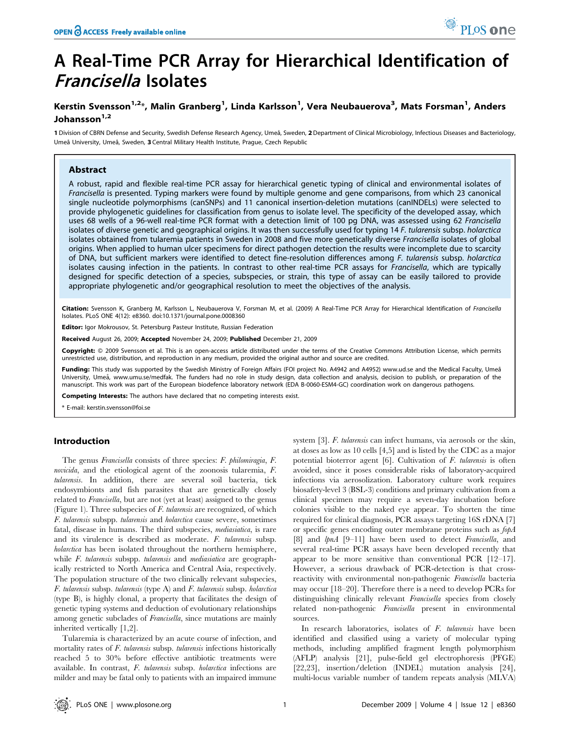# A Real-Time PCR Array for Hierarchical Identification of Francisella Isolates

# Kerstin Svensson<sup>1,2</sup>\*, Malin Granberg<sup>1</sup>, Linda Karlsson<sup>1</sup>, Vera Neubauerova<sup>3</sup>, Mats Forsman<sup>1</sup>, Anders Johansson<sup>1,2</sup>

1 Division of CBRN Defense and Security, Swedish Defense Research Agency, Umeå, Sweden, 2 Department of Clinical Microbiology, Infectious Diseases and Bacteriology, Umeå University, Umeå, Sweden, 3 Central Military Health Institute, Prague, Czech Republic

# Abstract

A robust, rapid and flexible real-time PCR assay for hierarchical genetic typing of clinical and environmental isolates of Francisella is presented. Typing markers were found by multiple genome and gene comparisons, from which 23 canonical single nucleotide polymorphisms (canSNPs) and 11 canonical insertion-deletion mutations (canINDELs) were selected to provide phylogenetic guidelines for classification from genus to isolate level. The specificity of the developed assay, which uses 68 wells of a 96-well real-time PCR format with a detection limit of 100 pg DNA, was assessed using 62 Francisella isolates of diverse genetic and geographical origins. It was then successfully used for typing 14 F. tularensis subsp. holarctica isolates obtained from tularemia patients in Sweden in 2008 and five more genetically diverse Francisella isolates of global origins. When applied to human ulcer specimens for direct pathogen detection the results were incomplete due to scarcity of DNA, but sufficient markers were identified to detect fine-resolution differences among F. tularensis subsp. holarctica isolates causing infection in the patients. In contrast to other real-time PCR assays for Francisella, which are typically designed for specific detection of a species, subspecies, or strain, this type of assay can be easily tailored to provide appropriate phylogenetic and/or geographical resolution to meet the objectives of the analysis.

Citation: Svensson K, Granberg M, Karlsson L, Neubauerova V, Forsman M, et al. (2009) A Real-Time PCR Array for Hierarchical Identification of Francisella Isolates. PLoS ONE 4(12): e8360. doi:10.1371/journal.pone.0008360

Editor: Igor Mokrousov, St. Petersburg Pasteur Institute, Russian Federation

Received August 26, 2009; Accepted November 24, 2009; Published December 21, 2009

Copyright: @ 2009 Svensson et al. This is an open-access article distributed under the terms of the Creative Commons Attribution License, which permits unrestricted use, distribution, and reproduction in any medium, provided the original author and source are credited.

Funding: This study was supported by the Swedish Ministry of Foreign Affairs (FOI project No. A4942 and A4952) www.ud.se and the Medical Faculty, Umeå University, Umeå, www.umu.se/medfak. The funders had no role in study design, data collection and analysis, decision to publish, or preparation of the manuscript. This work was part of the European biodefence laboratory network (EDA B-0060-ESM4-GC) coordination work on dangerous pathogens.

Competing Interests: The authors have declared that no competing interests exist.

\* E-mail: kerstin.svensson@foi.se

# Introduction

The genus Francisella consists of three species: F. philomiragia, F. novicida, and the etiological agent of the zoonosis tularemia, F. tularensis. In addition, there are several soil bacteria, tick endosymbionts and fish parasites that are genetically closely related to Francisella, but are not (yet at least) assigned to the genus (Figure 1). Three subspecies of  $F$ . tularensis are recognized, of which F. tularensis subspp. tularensis and holarctica cause severe, sometimes fatal, disease in humans. The third subspecies, mediasiatica, is rare and its virulence is described as moderate. F. tularensis subsp. holarctica has been isolated throughout the northern hemisphere, while F. tularensis subspp. tularensis and mediasiatica are geographically restricted to North America and Central Asia, respectively. The population structure of the two clinically relevant subspecies, F. tularensis subsp. tularensis (type A) and F. tularensis subsp. holarctica (type B), is highly clonal, a property that facilitates the design of genetic typing systems and deduction of evolutionary relationships among genetic subclades of Francisella, since mutations are mainly inherited vertically [1,2].

Tularemia is characterized by an acute course of infection, and mortality rates of F. tularensis subsp. tularensis infections historically reached 5 to 30% before effective antibiotic treatments were available. In contrast, F. tularensis subsp. holarctica infections are milder and may be fatal only to patients with an impaired immune system [3]. F. tularensis can infect humans, via aerosols or the skin, at doses as low as 10 cells [4,5] and is listed by the CDC as a major potential bioterror agent [6]. Cultivation of F. tularensis is often avoided, since it poses considerable risks of laboratory-acquired infections via aerosolization. Laboratory culture work requires biosafety-level 3 (BSL-3) conditions and primary cultivation from a clinical specimen may require a seven-day incubation before colonies visible to the naked eye appear. To shorten the time required for clinical diagnosis, PCR assays targeting 16S rDNA [7] or specific genes encoding outer membrane proteins such as fopA [8] and *lpnA* [9–11] have been used to detect *Francisella*, and several real-time PCR assays have been developed recently that appear to be more sensitive than conventional PCR [12–17]. However, a serious drawback of PCR-detection is that crossreactivity with environmental non-pathogenic Francisella bacteria may occur [18–20]. Therefore there is a need to develop PCRs for distinguishing clinically relevant Francisella species from closely related non-pathogenic Francisella present in environmental sources.

In research laboratories, isolates of F. tularensis have been identified and classified using a variety of molecular typing methods, including amplified fragment length polymorphism (AFLP) analysis [21], pulse-field gel electrophoresis (PFGE) [22,23], insertion/deletion (INDEL) mutation analysis [24], multi-locus variable number of tandem repeats analysis (MLVA)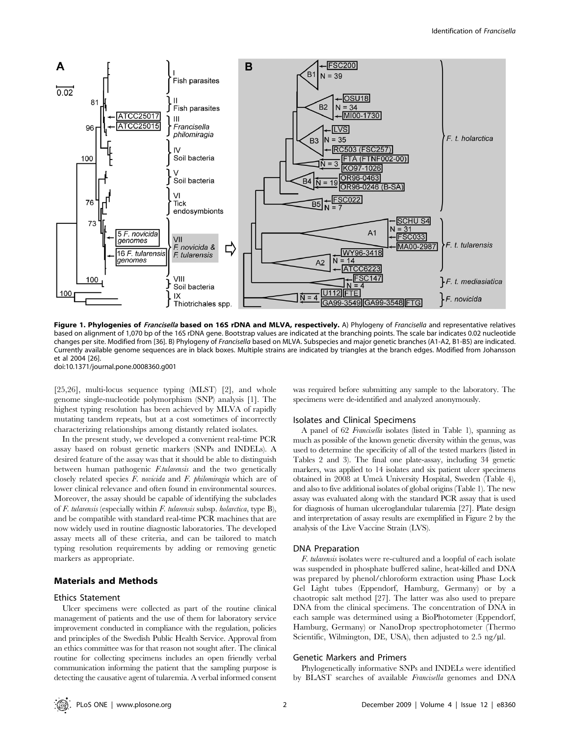

Figure 1. Phylogenies of Francisella based on 16S rDNA and MLVA, respectively. A) Phylogeny of Francisella and representative relatives based on alignment of 1,070 bp of the 16S rDNA gene. Bootstrap values are indicated at the branching points. The scale bar indicates 0.02 nucleotide changes per site. Modified from [36]. B) Phylogeny of Francisella based on MLVA. Subspecies and major genetic branches (A1-A2, B1-B5) are indicated. Currently available genome sequences are in black boxes. Multiple strains are indicated by triangles at the branch edges. Modified from Johansson et al 2004 [26].

doi:10.1371/journal.pone.0008360.g001

[25,26], multi-locus sequence typing (MLST) [2], and whole genome single-nucleotide polymorphism (SNP) analysis [1]. The highest typing resolution has been achieved by MLVA of rapidly mutating tandem repeats, but at a cost sometimes of incorrectly characterizing relationships among distantly related isolates.

In the present study, we developed a convenient real-time PCR assay based on robust genetic markers (SNPs and INDELs). A desired feature of the assay was that it should be able to distinguish between human pathogenic F.tularensis and the two genetically closely related species F. novicida and F. philomiragia which are of lower clinical relevance and often found in environmental sources. Moreover, the assay should be capable of identifying the subclades of F. tularensis (especially within F. tularensis subsp. holarctica, type  $B$ ), and be compatible with standard real-time PCR machines that are now widely used in routine diagnostic laboratories. The developed assay meets all of these criteria, and can be tailored to match typing resolution requirements by adding or removing genetic markers as appropriate.

# Materials and Methods

# Ethics Statement

Ulcer specimens were collected as part of the routine clinical management of patients and the use of them for laboratory service improvement conducted in compliance with the regulation, policies and principles of the Swedish Public Health Service. Approval from an ethics committee was for that reason not sought after. The clinical routine for collecting specimens includes an open friendly verbal communication informing the patient that the sampling purpose is detecting the causative agent of tularemia. A verbal informed consent was required before submitting any sample to the laboratory. The specimens were de-identified and analyzed anonymously.

# Isolates and Clinical Specimens

A panel of 62 Francisella isolates (listed in Table 1), spanning as much as possible of the known genetic diversity within the genus, was used to determine the specificity of all of the tested markers (listed in Tables 2 and 3). The final one plate-assay, including 34 genetic markers, was applied to 14 isolates and six patient ulcer specimens obtained in 2008 at Umea˚ University Hospital, Sweden (Table 4), and also to five additional isolates of global origins (Table 1). The new assay was evaluated along with the standard PCR assay that is used for diagnosis of human ulceroglandular tularemia [27]. Plate design and interpretation of assay results are exemplified in Figure 2 by the analysis of the Live Vaccine Strain (LVS).

### DNA Preparation

F. tularensis isolates were re-cultured and a loopful of each isolate was suspended in phosphate buffered saline, heat-killed and DNA was prepared by phenol/chloroform extraction using Phase Lock Gel Light tubes (Eppendorf, Hamburg, Germany) or by a chaotropic salt method [27]. The latter was also used to prepare DNA from the clinical specimens. The concentration of DNA in each sample was determined using a BioPhotometer (Eppendorf, Hamburg, Germany) or NanoDrop spectrophotometer (Thermo Scientific, Wilmington, DE, USA), then adjusted to  $2.5 \text{ ng/}\mu\text{l}$ .

### Genetic Markers and Primers

Phylogenetically informative SNPs and INDELs were identified by BLAST searches of available Francisella genomes and DNA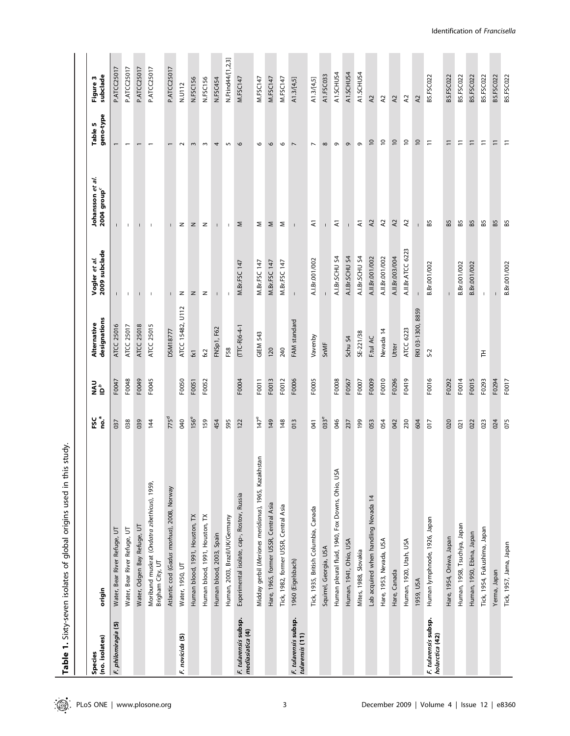Table 1. Sixty-seven isolates of global origins used in this study. Table 1. Sixty-seven isolates of global origins used in this study.

| (no. isolates)<br><b>Species</b>         | origin                                                           | ្ត<br>កូន់       | <b>UAU</b><br>D <sup>6</sup> | designations<br>Alternative | 2009 subclade<br>Vogler et al. | Johansson et al.<br>2004 group <sup>c</sup> | geno-type<br>Table 5 | subclade<br>Figure 3 |
|------------------------------------------|------------------------------------------------------------------|------------------|------------------------------|-----------------------------|--------------------------------|---------------------------------------------|----------------------|----------------------|
| F. philomiragia (5)                      | Water, Bear River Refuge, UT                                     | 037              | F0047                        | ATCC 25016                  |                                |                                             |                      | P.ATCC25017          |
|                                          | Water, Bear River Refuge, UT                                     | 038              | F0048                        | ATCC 25017                  | $\mathbf{I}$                   | Τ.                                          |                      | P.ATCC25017          |
|                                          | Water, Odgen Bay Refuge, UT                                      | 039              | F0049                        | <b>ATCC 25018</b>           |                                |                                             |                      | P.ATCC25017          |
|                                          | Moribund muskrat (Ondatra zibethicus), 1959,<br>Brigham City, UT | 144              | F0045                        | ATCC 25015                  |                                |                                             |                      | P.ATCC25017          |
|                                          | Atlantic cod (Gadus morhua), 2008, Norway                        | 775 <sup>d</sup> |                              | <b>DSM18777</b>             |                                |                                             |                      | P.ATCC25017          |
| F. novicida (5)                          | Water, 1950, UT                                                  | <b>940</b>       | F0050                        | ATCC 15482, U112            | z                              | z                                           | $\sim$               | N.U112               |
|                                          | Human blood, 1991, Houston, TX                                   | 156 <sup>e</sup> | F0051                        | $f_{\rm X1}$                | z                              | z                                           | $\sim$               | N.FSC156             |
|                                          | Human blood, 1991, Houston, TX                                   | 159              | F0052                        | $\approx$                   | z                              | z                                           | $\sim$               | N.FSC156             |
|                                          | Human blood, 2003, Spain                                         | 454              |                              | FNSp1, F62                  |                                |                                             | 4                    | N.FSC454             |
|                                          | Human, 2003, Brazil/UK/Germany                                   | 595              |                              | F58                         |                                | $\mathbf{I}$                                | 5                    | N.Ftind44/[1,2,3]    |
| F. tularensis subsp.<br>mediasiatica (4) | Experimental isolate, cap-, Rostov, Russia                       | 122              | F0004                        | $(TTC-R)6-4-1$              | M.Br.FSC 147                   | Σ                                           | 6                    | M.FSC147             |
|                                          | Midday gerbil (Meriones meridianus), 1965, Kazakhstan            | $147^e$          | F0011                        | GIEM 543                    | M.Br.FSC 147                   | Σ                                           | G                    | M.FSC147             |
|                                          | Hare, 1965, former USSR, Central Asia                            | 149              | F0013                        | 120                         | M.Br.FSC 147                   | Σ                                           | 6                    | M.FSC147             |
|                                          | Tick, 1982, former USSR, Central Asia                            | 148              | F0012                        | 240                         | M.Br.FSC 147                   | Σ                                           | $\circ$              | M.FSC147             |
| F. tularensis subsp.<br>tularensis (11)  | 1960 (Eigelsbach)                                                | $\frac{3}{2}$    | F0006                        | FAM standard                | $\mathbf{I}$                   | $\overline{1}$                              | $\overline{ }$       | A1.3/[4,5]           |
|                                          | Tick, 1935, British Columbia, Canada                             | $\overline{5}$   | F0005                        | Vavenby                     | A.I.Br.001/002                 | ₹                                           | $\overline{ }$       | A1.3/[4,5]           |
|                                          | Squirrel, Georgia, USA                                           | $033^e$          |                              | SnMF                        |                                |                                             | $\infty$             | A1.FSC033            |
|                                          | Human pleural fluid, 1940, Fox Downs, Ohio, USA                  | 046              | F0008                        |                             | A.I.Br.SCHU S4                 | ₹                                           | $\circ$              | A1.SCHUS4            |
|                                          | Human, 1941, Ohio, USA                                           | 237              | F0567                        | Schu S4                     | A.I.Br.SCHU S4                 |                                             | $\sigma$             | A1.SCHUS4            |
|                                          | Mites, 1988, Slovakia                                            | 199              | F0007                        | SE-221/38                   | A.I.Br.SCHU S4                 | $\overline{\mathbf{x}}$                     | G                    | A1.SCHUS4            |
|                                          | Lab acquired when handling Nevada 14                             | 053              | F0009                        | F.tul AC                    | A.II.Br.001/002                | 57                                          | $\overline{0}$       | $\lambda$            |
|                                          | Hare, 1953, Nevada, USA                                          | 054              | F0010                        | Nevada 14                   | A.II.Br.001/002                | $\lambda$                                   | $\overline{C}$       | $\approx$            |
|                                          | Hare, Canada                                                     | 042              | F0296                        | Utter                       | A.II.Br.003/004                | $\lambda$                                   | $\overline{10}$      | <b>Z</b>             |
|                                          | Human, 1920, Utah, USA                                           | 230              | F0419                        | ATCC 6223                   | A.II.Br.ATCC 6223              | $\lambda$                                   | $\overline{c}$       | $\lambda$            |
|                                          | 1959, USA                                                        | 604              |                              | RKI 03-1300, 8859           |                                |                                             | $\overline{0}$       | <b>Z</b>             |
| F. tularensis subsp.<br>holarctica (42)  | Human lymphnode, 1926, Japan                                     | $\overline{017}$ | F0016                        | $S-2$                       | B.Br.001/002                   | 65                                          | $\Xi$                | B5.FSC022            |
|                                          | Hare, 1954, Oniwa, Japan                                         | 020              | F0292                        |                             |                                | <b>B5</b>                                   | $\Xi$                | B5.FSC022            |
|                                          | Human, 1958, Tsuchiya, Japan                                     | 021              | F0014                        |                             | B.Br.001/002                   | 65                                          | Ξ                    | B5.FSC022            |
|                                          | Human, 1950, Ebina, Japan                                        | 022              | F0015                        |                             | B.Br.001/002                   | B5                                          | $\Xi$                | <b>B5.FSC022</b>     |
|                                          | Tick, 1954, Fukushima, Japan                                     | 023              | F0293                        | 舌                           | $\mathbf{I}$                   | 65                                          | $\Xi$                | <b>B5.FSC022</b>     |
|                                          | Yerma, Japan                                                     | 024              | F0294                        |                             |                                | <b>B5</b>                                   | $\equiv$             | B5.FSC022            |
|                                          | Tick, 1957, Jama, Japan                                          | 075              | F0017                        |                             | B.Br.001/002                   | B5                                          | Ξ                    | B5.FSC022            |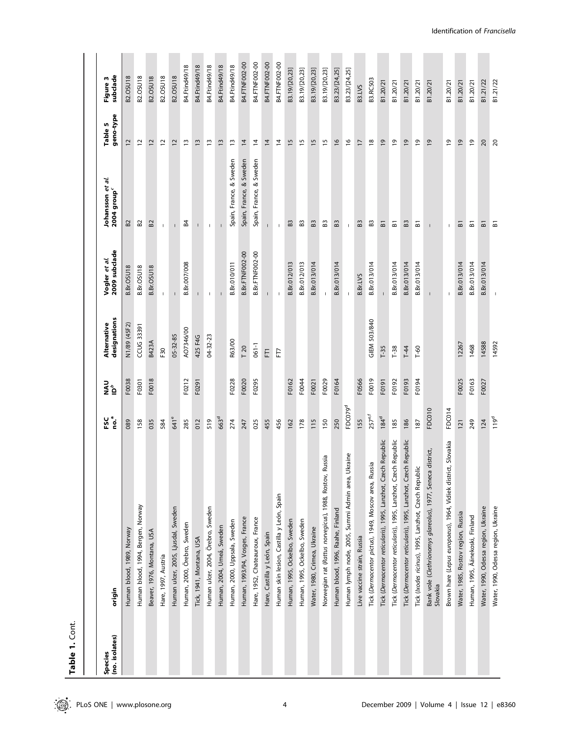| Ξ                |  |
|------------------|--|
| ŧ                |  |
| ı<br>α<br>г<br>σ |  |

| (no. isolates)<br>Species | origin                                                                  | no.ª<br>FSC         | NAU<br>≧ ≙ | designations<br>Alternative | 2009 subclade<br>Vogler <i>et al.</i> | Johansson et al.<br>2004 group <sup>c</sup> | geno-type<br>Table 5 | subclade<br>Figure 3 |
|---------------------------|-------------------------------------------------------------------------|---------------------|------------|-----------------------------|---------------------------------------|---------------------------------------------|----------------------|----------------------|
|                           | Human blood, 1989, Norway                                               | 089                 | F0038      | N1/89 (45F2)                | B.Br.OSU18                            | B <sub>2</sub>                              | 12                   | <b>B2.OSU18</b>      |
|                           | Human blood, 1994, Bergen, Norway                                       | 158                 | F0301      | <b>CCUG 33391</b>           | B.Br.OSU18                            | B <sub>2</sub>                              | $\overline{c}$       | <b>B2.OSU18</b>      |
|                           | Beaver, 1976, Montana, USA                                              | 035                 | F0018      | <b>B423A</b>                | B.Br.OSU18                            | 52                                          | $\overline{c}$       | B2.OSU18             |
|                           | Hare, 1997, Austria                                                     | 584                 |            | F <sub>30</sub>             | T.                                    | $\mathbf{I}$                                | 5                    | <b>B2.OSU18</b>      |
|                           | Human ulcer, 2005, Ljusdal, Sweden                                      | 641 <sup>e</sup>    |            | $05 - 32 - 85$              |                                       |                                             | $\overline{c}$       | <b>B2.OSU18</b>      |
|                           | Human, 2000, Örebro, Sweden                                             | 285                 | F0212      | AO7346/00                   | B.Br.007/008                          | 54                                          | $\overline{1}$       | B4.Ftind49/18        |
|                           | Tick, 1941, Montana, USA                                                | 012                 | F0291      | 425 F4G                     | $\mathbf{I}$                          | $\mathbf{I}$                                | $\frac{1}{2}$        | B4.Ftind49/18        |
|                           | Human ulcer, 2004, Örebro, Sweden                                       | 519                 |            | 04-32-23                    | $\mathbf{I}$                          | I.                                          | Ξ                    | B4.Ftind49/18        |
|                           | Human, 2004, Umeå, Sweden                                               | 663 <sup>d</sup>    |            |                             |                                       |                                             | $\tilde{1}$          | <b>B4.Ftind49/18</b> |
|                           | Human, 2000, Uppsala, Sweden                                            | 274                 | F0228      | R63/00                      | B.Br.010/011                          | Spain, France, & Sweden                     | $\overline{1}$       | B4.Ftind49/18        |
|                           | Human, 1993/94, Vosges, France                                          | 247                 | F0020      | T 20                        | <b>B.Br.FTNF002-00</b>                | Spain, France, & Sweden                     | $\overline{4}$       | B4.FTNF002-00        |
|                           | Hare, 1952, Chateauroux, France                                         | 025                 | F0295      | $061 - 1$                   | <b>B.Br.FTNF002-00</b>                | Spain, France, & Sweden                     | $\overline{4}$       | B4.FTNF002-00        |
|                           | Hare, Castilla y León, Spain                                            | 455                 |            | E                           | т                                     | $\mathsf{L}$                                | $\overline{4}$       | B4.FTNF002-00        |
|                           | Human skin lesion, Castilla y León, Spain                               | 456                 |            | E                           | -1                                    | $\overline{1}$                              | $\overline{4}$       | B4.FTNF002-00        |
|                           | Human, 1995, Ockelbo, Sweden                                            | 162                 | F0162      |                             | B.Br.012/013                          | 63                                          | 15                   | B3.19/[20,23]        |
|                           | Human, 1995, Ockelbo, Sweden                                            | 178                 | F0044      |                             | B.Br.012/013                          | 63                                          | 15                   | B3.19/[20,23]        |
|                           | Water, 1980, Crimea, Ukraine                                            | 115                 | F0021      |                             | B.Br.013/014                          | 63                                          | $\frac{5}{2}$        | B3.19/[20,23]        |
|                           | Russia<br>Norwegian rat (Rattus norvegicus), 1988, Rostov,              | 150                 | F0029      |                             | $\mathbf{I}$                          | 63                                          | 15                   | B3.19/[20,23]        |
|                           | Human blood, 1996, Raahe, Finland                                       | 250                 | F0164      |                             | B.Br.013/014                          | 63                                          | $\frac{8}{1}$        | B3.23/[24,25]        |
|                           | Ukraine<br>Human lymph node, 2005, Summi Admin area,                    | FDC079 <sup>d</sup> |            |                             | т.                                    | $\mathsf{L}$                                | $\frac{6}{2}$        | B3.23/[24,25]        |
|                           | Live vaccine strain, Russia                                             | 155                 | F0566      |                             | <b>B.Br.LVS</b>                       | 63                                          | 17                   | B3.LVS               |
|                           | Tick (Dermacentor pictus), 1949, Moscov area, Russia                    | 257 <sup>ef</sup>   | F0019      | GIEM 503/840                | B.Br.013/014                          | 63                                          | $\frac{8}{2}$        | <b>B3.RC503</b>      |
|                           | Tick (Dermacentor reticularis), 1995, Lanzhot, Czech Republic           | $184^d$             | F0191      | $T-35$                      |                                       | 듮                                           | $\overline{6}$       | B1.20/21             |
|                           | Tick (Dermacentor reticularis), 1995, Lanzhot, Czech Republic           | 185                 | F0192      | $T-38$                      | B.Br.013/014                          | ៜ                                           | é,                   | B1.20/21             |
|                           | Tick (Dermacentor reticularis), 1995, Lanzhot, Czech Republic           | 186                 | F0193      | $T-44$                      | B.Br.013/014                          | 63                                          | $\overline{6}$       | B1.20/21             |
|                           | Tick (Ixodes ricinus), 1995, Lanzhot, Czech Republic                    | 187                 | F0194      | $T - 60$                    | B.Br.013/014                          | $\overline{a}$                              | $\overline{6}$       | B1.20/21             |
|                           | Bank vole (Clethrionomys glareolus), 1977, Seneca district,<br>Slovakia | FDC010              |            |                             | $\overline{\phantom{a}}$              | $\mathbf{I}$                                | $\overline{6}$       | B1.20/21             |
|                           | Brown hare (Lepus europaeus), 1964, Vidiek district, Slovakia           | FDC014              |            |                             |                                       | $\mathsf I$                                 | <u>و </u>            | B1.20/21             |
|                           | Water, 1985, Rostov region, Russia                                      | 121                 | F0025      | 12267                       | B.Br.013/014                          | ៜ                                           | $\overline{6}$       | B1.20/21             |
|                           | Human, 1995, Äänekoski, Finland                                         | 249                 | F0163      | 1468                        | B.Br.013/014                          | 忘                                           | $\overline{6}$       | B1.20/21             |
|                           | Water, 1990, Odessa region, Ukraine                                     | 124                 | F0027      | 14588                       | B.Br.013/014                          | ៜ                                           | 20                   | B1.21/22             |
|                           | Water, 1990, Odessa region, Ukraine                                     | 119 <sup>d</sup>    |            | 14592                       |                                       | ៜ                                           | $\overline{c}$       | B1.21/22             |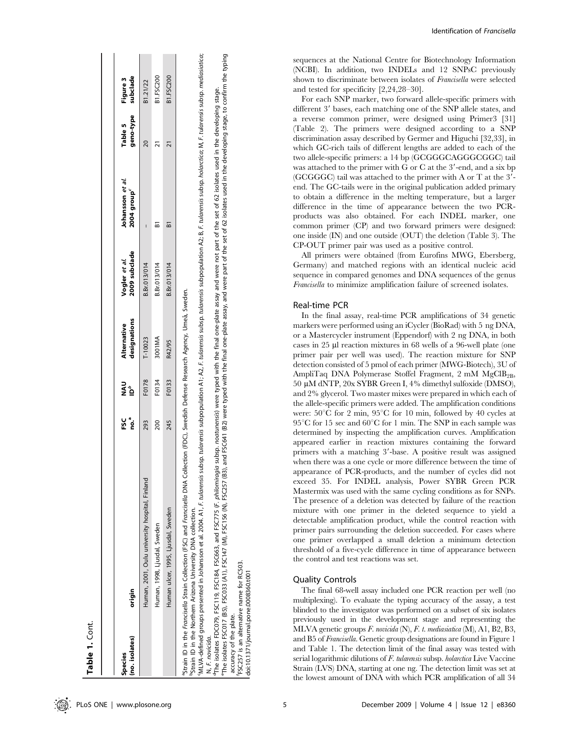| (no. isolates)<br><b>Species</b> | origin                                                                                                                                                                                                                                                                                                                                                                                                                                                                        | ဦ<br>us<br>Fo | ue<br>P | designations<br>Alternative | 2009 subclade<br>Vogler et al. | Johansson et al.<br>2004 group <sup>c</sup>                                                                                                            | geno-type<br>Table 5 | subclade<br>Figure 3 |
|----------------------------------|-------------------------------------------------------------------------------------------------------------------------------------------------------------------------------------------------------------------------------------------------------------------------------------------------------------------------------------------------------------------------------------------------------------------------------------------------------------------------------|---------------|---------|-----------------------------|--------------------------------|--------------------------------------------------------------------------------------------------------------------------------------------------------|----------------------|----------------------|
|                                  | Human, 2001, Oulu university hospital, Finland                                                                                                                                                                                                                                                                                                                                                                                                                                | 293           | F0178   | $T-10023$                   | B.Br.013/014                   |                                                                                                                                                        |                      | <b>B1.21/22</b>      |
|                                  | Human, 1998, Ljusdal, Sweden                                                                                                                                                                                                                                                                                                                                                                                                                                                  | 200           | F0134   | 3001MA                      | B.Br.013/014                   | ๛                                                                                                                                                      |                      | B1.FSC200            |
|                                  | Human ulcer, 1995, Ljusdal, Sweden                                                                                                                                                                                                                                                                                                                                                                                                                                            | 245           | F0133   | R42/95                      | B.Br.013/014                   |                                                                                                                                                        |                      | <b>B1.FSC200</b>     |
| N, F. novicida.                  | MLVA-defined groups presented in Johansson et al. 2004. A1, F. F. uldrensis subsp. tuldrensis subpopulation A2, F. tuldrensis subsp. tuldrensis subsp. And A2, B. F. tuldrensis subsp. holdretica; M, F. tuldrensis subsp. med<br><sup>9</sup> Strain ID in the Francisella Strain Collection (FSC) and Fr <i>ancisella</i> DNA Collection (FDC), Swedish Defense Research Agency, Umeå, Sweden.<br><sup>9</sup> Strain ID in the Northern Arizona University DNA collection. |               |         |                             |                                |                                                                                                                                                        |                      |                      |
|                                  | The isolates FDC079, FSC184, FSC663, and FSC775 (F. philomiragia subsp. noatunensis) were typed with the final one-plate assay and were not part of the set of 62 isolates used in the developing stage.<br><sup>e</sup> The isolates FSC017 (B5), FSC033 (A1), FSC147 (M), FSC156 (N), FSC257 (B3),                                                                                                                                                                          |               |         |                             |                                | and FSC641 (B2) were typed with the final one-plate assay, and were part of the set of 62 isolates used in the developing stage, to confirm the typing |                      |                      |

 $\geq$ ħ ä đ ār assay, with the typed were (B3), and FSC641 (B2) The isolates FSC017 (B5), FSC033 (A1), FSC147 (M), FSC156 (N), FSC257 accuracy of the plate. accuracy of the plate.

is an alternative name for RC503

doi:10.1371/journal.pone.0008360.t001 FSC257

fFSC257 is an alternative name for RC503.

doi:10.1371/journal.pone.0008360.t00

Germany) and matched regions with an identical nucleic acid sequence in compared genomes and DNA sequences of the genus Francisella to minimize amplification failure of screened isolates. Real-time PCR

In the final assay, real-time PCR amplifications of 34 genetic markers were performed using an iCycler (BioRad) with 5 ng DNA, or a Mastercycler instrument (Eppendorf) with 2 ng DNA, in both cases in  $25 \mu$ l reaction mixtures in  $68 \text{ wells}$  of a 96-well plate (one primer pair per well was used). The reaction mixture for SNP detection consisted of 5 pmol of each primer (MWG-Biotech), 3U of AmpliTaq DNA Polymerase Stoffel Fragment, 2 mM  $MgClB_{2B}$ , 50 mM dNTP, 20x SYBR Green I, 4% dimethyl sulfoxide (DMSO), and 2% glycerol. Two master mixes were prepared in which each of the allele-specific primers were added. The amplification conditions were:  $50^{\circ}$ C for 2 min,  $95^{\circ}$ C for 10 min, followed by 40 cycles at  $95^{\circ}$ C for 15 sec and  $60^{\circ}$ C for 1 min. The SNP in each sample was determined by inspecting the amplification curves. Amplification appeared earlier in reaction mixtures containing the forward primers with a matching 3'-base. A positive result was assigned when there was a one cycle or more difference between the time of appearance of PCR-products, and the number of cycles did not exceed 35. For INDEL analysis, Power SYBR Green PCR Mastermix was used with the same cycling conditions as for SNPs. The presence of a deletion was detected by failure of the reaction mixture with one primer in the deleted sequence to yield a detectable amplification product, while the control reaction with primer pairs surrounding the deletion succeeded. For cases where one primer overlapped a small deletion a minimum detection threshold of a five-cycle difference in time of appearance between the control and test reactions was set.

# Quality Controls

The final 68-well assay included one PCR reaction per well (no multiplexing). To evaluate the typing accuracy of the assay, a test blinded to the investigator was performed on a subset of six isolates previously used in the development stage and representing the MLVA genetic groups F. novicida (N), F. t. mediasiatica (M), A1, B2, B3, and B5 of Francisella. Genetic group designations are found in Figure 1 and Table 1. The detection limit of the final assay was tested with serial logarithmic dilutions of F. tularensis subsp. holarctica Live Vaccine Strain (LVS) DNA, starting at one ng. The detection limit was set at the lowest amount of DNA with which PCR amplification of all 34

Table 1.

Table 1. Cont.

sequences at the National Centre for Biotechnology Information (NCBI). In addition, two INDELs and 12 SNPsC previously shown to discriminate between isolates of Francisella were selected

For each SNP marker, two forward allele-specific primers with different 3' bases, each matching one of the SNP allele states, and a reverse common primer, were designed using Primer3 [31] (Table 2). The primers were designed according to a SNP discrimination assay described by Germer and Higuchi [32,33], in which GC-rich tails of different lengths are added to each of the two allele-specific primers: a 14 bp (GCGGGCAGGGCGGC) tail was attached to the primer with  $G$  or  $C$  at the  $3'$ -end, and a six bp (GCGGGC) tail was attached to the primer with A or T at the  $3'$ end. The GC-tails were in the original publication added primary to obtain a difference in the melting temperature, but a larger difference in the time of appearance between the two PCRproducts was also obtained. For each INDEL marker, one common primer (CP) and two forward primers were designed: one inside (IN) and one outside (OUT) the deletion (Table 3). The

CP-OUT primer pair was used as a positive control.

All primers were obtained (from Eurofins MWG, Ebersberg,

and tested for specificity [2,24,28–30].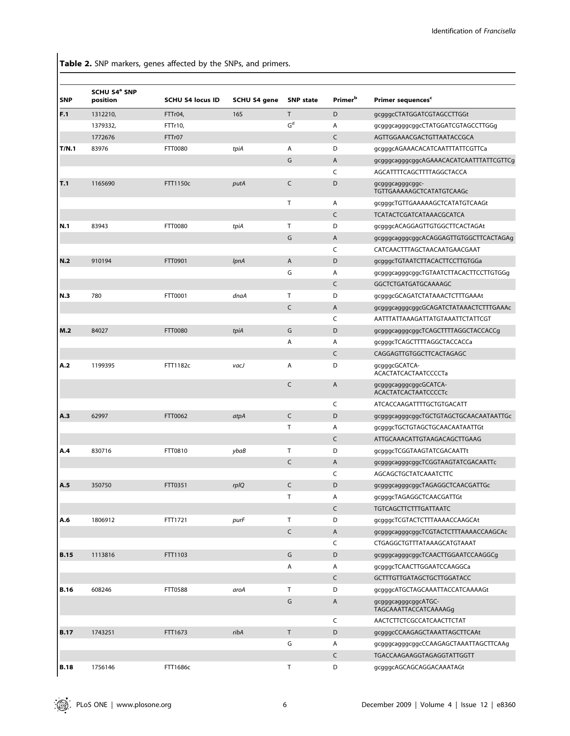Table 2. SNP markers, genes affected by the SNPs, and primers.

| <b>SNP</b>  | SCHU S4 <sup>ª</sup> SNP<br>position | <b>SCHU S4 locus ID</b> | SCHU S4 gene | <b>SNP</b> state | <b>Primer</b> <sup>b</sup> | Primer sequences <sup>c</sup>                        |
|-------------|--------------------------------------|-------------------------|--------------|------------------|----------------------------|------------------------------------------------------|
| F.1         | 1312210,                             | FTTr04,                 | <b>16S</b>   | T                | D                          | gcgggcCTATGGATCGTAGCCTTGGt                           |
|             | 1379332,                             | FTTr10,                 |              | $G^d$            | Α                          | gcgggcagggcggcCTATGGATCGTAGCCTTGGq                   |
|             | 1772676                              | FTTr07                  |              |                  | C                          | AGTTGGAAACGACTGTTAATACCGCA                           |
| T/N.1       | 83976                                | FTT0080                 | tpiA         | Α                | D                          | gcgggcAGAAACACATCAATTTATTCGTTCa                      |
|             |                                      |                         |              | G                | A                          | gcgggcagggcggcAGAAACACATCAATTTATTCGTTCg              |
|             |                                      |                         |              |                  | C                          | AGCATTTTCAGCTTTTAGGCTACCA                            |
| T.1         | 1165690                              | FTT1150c                | putA         | C                | D                          | gcgggcagggcggc-<br>TGTTGAAAAAGCTCATATGTCAAGc         |
|             |                                      |                         |              | T                | Α                          | gcgggcTGTTGAAAAAGCTCATATGTCAAGt                      |
|             |                                      |                         |              |                  | $\mathsf{C}$               | TCATACTCGATCATAAACGCATCA                             |
| N.1         | 83943                                | FTT0080                 | tpiA         | T                | D                          | gcgggcACAGGAGTTGTGGCTTCACTAGAt                       |
|             |                                      |                         |              | G                | A                          | gcgggcagggcggcACAGGAGTTGTGGCTTCACTAGAg               |
|             |                                      |                         |              |                  | C                          | CATCAACTTTAGCTAACAATGAACGAAT                         |
| N.2         | 910194                               | FTT0901                 | <i>lpnA</i>  | A                | D                          | gcgggcTGTAATCTTACACTTCCTTGTGGa                       |
|             |                                      |                         |              | G                | Α                          | gcgggcagggcggcTGTAATCTTACACTTCCTTGTGGg               |
|             |                                      |                         |              |                  | C                          | GGCTCTGATGATGCAAAAGC                                 |
| N.3         | 780                                  | FTT0001                 | dnaA         | T                | D                          | gcgggcGCAGATCTATAAACTCTTTGAAAt                       |
|             |                                      |                         |              | C                | A                          | gcgggcagggcggcGCAGATCTATAAACTCTTTGAAAc               |
|             |                                      |                         |              |                  | C                          | AATTTATTAAAGATTATGTAAATTCTATTCGT                     |
| M.2         | 84027                                | FTT0080                 | tpiA         | G                | D                          | gcgggcagggcggcTCAGCTTTTAGGCTACCACCg                  |
|             |                                      |                         |              | Α                | Α                          | gcgggcTCAGCTTTTAGGCTACCACCa                          |
|             |                                      |                         |              |                  | C                          | CAGGAGTTGTGGCTTCACTAGAGC                             |
| A.2         | 1199395                              | FTT1182c                | vacJ         | Α                | D                          | gcgggcGCATCA-<br><b>ACACTATCACTAATCCCCTa</b>         |
|             |                                      |                         |              | C                | A                          | gcgggcagggcggcGCATCA-<br><b>ACACTATCACTAATCCCCTc</b> |
|             |                                      |                         |              |                  | C                          | ATCACCAAGATTTTGCTGTGACATT                            |
| A.3         | 62997                                | FTT0062                 | atpA         | C                | D                          | gcgggcagggcggcTGCTGTAGCTGCAACAATAATTGc               |
|             |                                      |                         |              | T                | Α                          | gcgggcTGCTGTAGCTGCAACAATAATTGt                       |
|             |                                      |                         |              |                  | $\mathsf{C}$               | ATTGCAAACATTGTAAGACAGCTTGAAG                         |
| A.4         | 830716                               | FTT0810                 | ybaB         | Т                | D                          | gcgggcTCGGTAAGTATCGACAATTt                           |
|             |                                      |                         |              | C                | $\overline{A}$             | gcgggcagggcggcTCGGTAAGTATCGACAATTc                   |
|             |                                      |                         |              |                  | C                          | AGCAGCTGCTATCAAATCTTC                                |
| A.5         | 350750                               | FTT0351                 | rplQ         | C                | D                          | gcgggcagggcggcTAGAGGCTCAACGATTGc                     |
|             |                                      |                         |              | T                | Α                          | gcgggcTAGAGGCTCAACGATTGt                             |
|             |                                      |                         |              |                  | $\mathsf{C}$               | <b>TGTCAGCTTCTTTGATTAATC</b>                         |
| A.6         | 1806912                              | FTT1721                 | purF         | T.               | D                          | gcgggcTCGTACTCTTTAAAACCAAGCAt                        |
|             |                                      |                         |              | $\mathsf{C}$     | A                          | gcgggcagggcggcTCGTACTCTTTAAAACCAAGCAc                |
|             |                                      |                         |              |                  | C                          | CTGAGGCTGTTTATAAAGCATGTAAAT                          |
| <b>B.15</b> | 1113816                              | FTT1103                 |              | G                | D                          | gcgggcagggcggcTCAACTTGGAATCCAAGGCg                   |
|             |                                      |                         |              | Α                | Α                          | gcgggcTCAACTTGGAATCCAAGGCa                           |
|             |                                      |                         |              |                  | $\mathsf{C}$               | <b>GCTTTGTTGATAGCTGCTTGGATACC</b>                    |
| <b>B.16</b> | 608246                               | <b>FTT0588</b>          | aroA         | Τ                | D                          | gcgggcATGCTAGCAAATTACCATCAAAAGt                      |
|             |                                      |                         |              | G                | A                          | gcgggcagggcggcATGC-<br>TAGCAAATTACCATCAAAAGg         |
|             |                                      |                         |              |                  | C                          | AACTCTTCTCGCCATCAACTTCTAT                            |
| <b>B.17</b> | 1743251                              | FTT1673                 | ribA         | T.               | D                          | gcgggcCCAAGAGCTAAATTAGCTTCAAt                        |
|             |                                      |                         |              | G                | Α                          | gcgggcagggcggcCCAAGAGCTAAATTAGCTTCAAg                |
|             |                                      |                         |              |                  | C                          | TGACCAAGAAGGTAGAGGTATTGGTT                           |
| <b>B.18</b> | 1756146                              | FTT1686c                |              | T.               | D                          | gcgggcAGCAGCAGGACAAATAGt                             |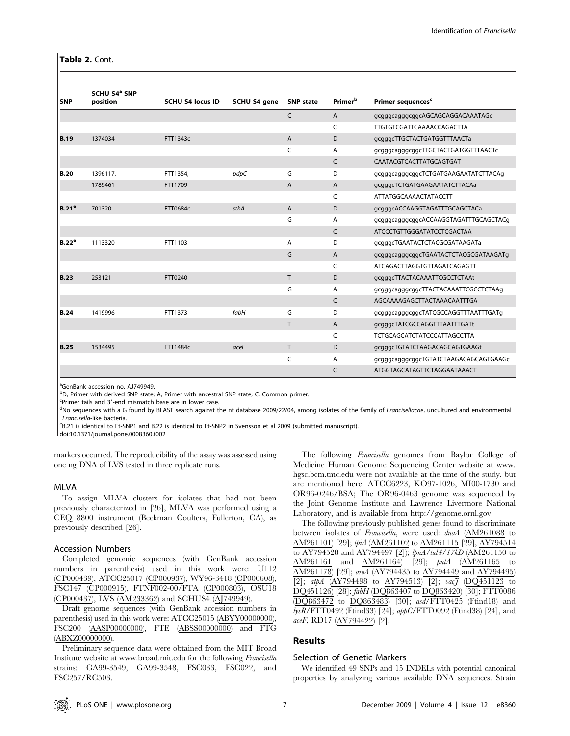# Table 2. Cont.

|                   | SCHU S4 <sup>ª</sup> SNP |                         |              |                  |                            |                                       |
|-------------------|--------------------------|-------------------------|--------------|------------------|----------------------------|---------------------------------------|
| <b>SNP</b>        | position                 | <b>SCHU S4 locus ID</b> | SCHU S4 gene | <b>SNP</b> state | <b>Primer</b> <sup>b</sup> | Primer sequences <sup>c</sup>         |
|                   |                          |                         |              | C                | $\overline{A}$             | gcgggcagggcggcAGCAGCAGGACAAATAGc      |
|                   |                          |                         |              |                  | C                          | TTGTGTCGATTCAAAACCAGACTTA             |
| <b>B.19</b>       | 1374034                  | FTT1343c                |              | $\overline{A}$   | D                          | gcgggcTTGCTACTGATGGTTTAACTa           |
|                   |                          |                         |              | C                | A                          | gcgggcagggcggcTTGCTACTGATGGTTTAACTc   |
|                   |                          |                         |              |                  | C                          | CAATACGTCACTTATGCAGTGAT               |
| <b>B.20</b>       | 1396117,                 | FTT1354,                | pdpC         | G                | D                          | gcgggcagggcggcTCTGATGAAGAATATCTTACAq  |
|                   | 1789461                  | FTT1709                 |              | Α                | A                          | gcgggcTCTGATGAAGAATATCTTACAa          |
|                   |                          |                         |              |                  | C                          | ATTATGGCAAAACTATACCTT                 |
| B.21 <sup>e</sup> | 701320                   | FTT0684c                | sthA         | $\overline{A}$   | D                          | gcgggcACCAAGGTAGATTTGCAGCTACa         |
|                   |                          |                         |              | G                | A                          | gcgggcagggcggcACCAAGGTAGATTTGCAGCTACq |
|                   |                          |                         |              |                  | $\mathsf{C}$               | ATCCCTGTTGGGATATCCTCGACTAA            |
| B.22 <sup>e</sup> | 1113320                  | FTT1103                 |              | A                | D                          | gcgggcTGAATACTCTACGCGATAAGATa         |
|                   |                          |                         |              | G                | $\overline{A}$             | gcgggcagggcggcTGAATACTCTACGCGATAAGATg |
|                   |                          |                         |              |                  | C                          | ATCAGACTTAGGTGTTAGATCAGAGTT           |
| <b>B.23</b>       | 253121                   | FTT0240                 |              | T                | D                          | gcgggcTTACTACAAATTCGCCTCTAAt          |
|                   |                          |                         |              | G                | A                          | gcgggcagggcggcTTACTACAAATTCGCCTCTAAg  |
|                   |                          |                         |              |                  | $\mathsf{C}$               | AGCAAAAGAGCTTACTAAACAATTTGA           |
| <b>B.24</b>       | 1419996                  | FTT1373                 | fabH         | G                | D                          | gcgggcagggcggcTATCGCCAGGTTTAATTTGATg  |
|                   |                          |                         |              | T                | $\overline{A}$             | gcgggcTATCGCCAGGTTTAATTTGATt          |
|                   |                          |                         |              |                  | C                          | <b>TCTGCAGCATCTATCCCATTAGCCTTA</b>    |
| <b>B.25</b>       | 1534495                  | FTT1484c                | aceF         | T.               | D                          | gcgggcTGTATCTAAGACAGCAGTGAAGt         |
|                   |                          |                         |              | C                | A                          | gcgggcagggcggcTGTATCTAAGACAGCAGTGAAGc |
|                   |                          |                         |              |                  | $\mathsf{C}$               | ATGGTAGCATAGTTCTAGGAATAAACT           |

<sup>a</sup>GenBank accession no. AJ749949.

<sup>b</sup>D, Primer with derived SNP state; A, Primer with ancestral SNP state; C, Common primer.

Eprimer tails and 3'-end mismatch base are in lower case.

<sup>d</sup>No sequences with a G found by BLAST search against the nt database 2009/22/04, among isolates of the family of Francisellacae, uncultured and environmental Francisella-like bacteria.

<sup>e</sup>B.21 is identical to Ft-SNP1 and B.22 is identical to Ft-SNP2 in Svensson et al 2009 (submitted manuscript).

doi:10.1371/journal.pone.0008360.t002

markers occurred. The reproducibility of the assay was assessed using one ng DNA of LVS tested in three replicate runs.

#### MLVA

To assign MLVA clusters for isolates that had not been previously characterized in [26], MLVA was performed using a CEQ 8800 instrument (Beckman Coulters, Fullerton, CA), as previously described [26].

#### Accession Numbers

Completed genomic sequences (with GenBank accession numbers in parenthesis) used in this work were: U112 (CP000439), ATCC25017 (CP000937), WY96-3418 (CP000608), FSC147 (CP000915), FTNF002-00/FTA (CP000803), OSU18 (CP000437), LVS (AM233362) and SCHUS4 (AJ749949).

Draft genome sequences (with GenBank accession numbers in parenthesis) used in this work were: ATCC25015 (ABYY00000000), FSC200 (AASP00000000), FTE (ABSS00000000) and FTG (ABXZ00000000).

Preliminary sequence data were obtained from the MIT Broad Institute website at www.broad.mit.edu for the following Francisella strains: GA99-3549, GA99-3548, FSC033, FSC022, and FSC257/RC503.

The following Francisella genomes from Baylor College of Medicine Human Genome Sequencing Center website at www. hgsc.bcm.tmc.edu were not available at the time of the study, but are mentioned here: ATCC6223, KO97-1026, MI00-1730 and OR96-0246/BSA; The OR96-0463 genome was sequenced by the Joint Genome Institute and Lawrence Livermore National Laboratory, and is available from http://genome.ornl.gov.

The following previously published genes found to discriminate between isolates of Francisella, were used: dnaA (AM261088 to AM261101) [29]; tpiA (AM261102 to AM261115 [29], AY794514 to AY794528 and AY794497 [2]); lpnA/tul4/17kD (AM261150 to AM261161 and AM261164) [29]; putA (AM261165 to AM261178) [29]; aroA (AY794435 to AY794449 and AY794495) [2];  $atpA$  (AY794498 to AY794513) [2];  $vac\tilde{f}$  (DQ451123 to DQ451126) [28]; fabH (DQ863407 to DQ863420) [30]; FTT0086 (DQ863472 to DQ863483) [30]; asd/FTT0425 (Ftind18) and lysR/FTT0492 (Ftind33) [24]; appC/FTT0092 (Ftind38) [24], and aceF, RD17 (AY794422) [2].

# Results

#### Selection of Genetic Markers

We identified 49 SNPs and 15 INDELs with potential canonical properties by analyzing various available DNA sequences. Strain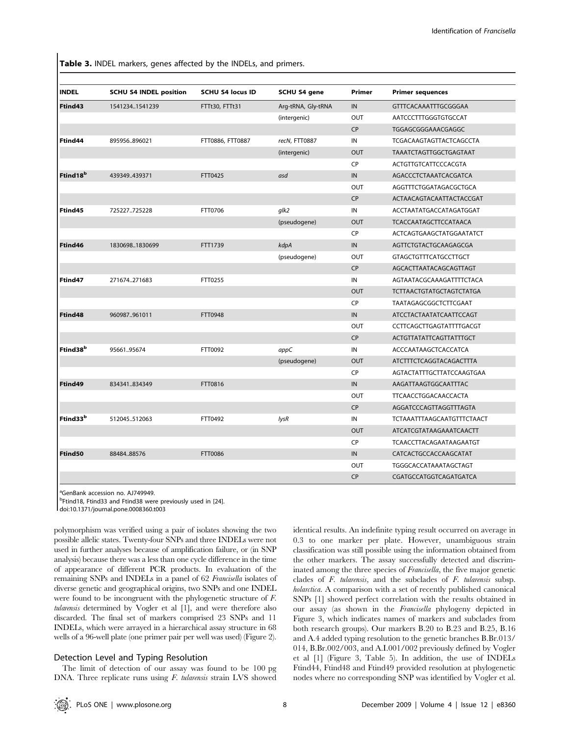Table 3. INDEL markers, genes affected by the INDELs, and primers.

| <b>INDEL</b>          | <b>SCHU S4 INDEL position</b> | <b>SCHU S4 locus ID</b> | SCHU S4 gene       | Primer     | <b>Primer sequences</b>           |
|-----------------------|-------------------------------|-------------------------|--------------------|------------|-----------------------------------|
| Ftind43               | 15412341541239                | FTTt30, FTTt31          | Arg-tRNA, Gly-tRNA | ${\sf IN}$ | GTTTCACAAATTTGCGGGAA              |
|                       |                               |                         | (intergenic)       | <b>OUT</b> | AATCCCTTTGGGTGTGCCAT              |
|                       |                               |                         |                    | <b>CP</b>  | TGGAGCGGGAAACGAGGC                |
| Ftind44               | 895956896021                  | FTT0886, FTT0887        | recN, FTT0887      | IN         | TCGACAAGTAGTTACTCAGCCTA           |
|                       |                               |                         | (intergenic)       | <b>OUT</b> | TAAATCTAGTTGGCTGAGTAAT            |
|                       |                               |                         |                    | CP         | ACTGTTGTCATTCCCACGTA              |
| Ftind 18 <sup>b</sup> | 439349439371                  | FTT0425                 | asd                | IN         | AGACCCTCTAAATCACGATCA             |
|                       |                               |                         |                    | OUT        | AGGTTTCTGGATAGACGCTGCA            |
|                       |                               |                         |                    | <b>CP</b>  | ACTAACAGTACAATTACTACCGAT          |
| Ftind45               | 725227725228                  | FTT0706                 | glk2               | IN         | ACCTAATATGACCATAGATGGAT           |
|                       |                               |                         | (pseudogene)       | <b>OUT</b> | <b>TCACCAATAGCTTCCATAACA</b>      |
|                       |                               |                         |                    | CP         | ACTCAGTGAAGCTATGGAATATCT          |
| Ftind46               | 18306981830699                | FTT1739                 | kdpA               | IN         | AGTTCTGTACTGCAAGAGCGA             |
|                       |                               |                         | (pseudogene)       | OUT        | <b>GTAGCTGTTTCATGCCTTGCT</b>      |
|                       |                               |                         |                    | <b>CP</b>  | AGCACTTAATACAGCAGTTAGT            |
| Ftind47               | 271674271683                  | FTT0255                 |                    | IN         | AGTAATACGCAAAGATTTTCTACA          |
|                       |                               |                         |                    | <b>OUT</b> | <b>TCTTAACTGTATGCTAGTCTATGA</b>   |
|                       |                               |                         |                    | CP         | TAATAGAGCGGCTCTTCGAAT             |
| Ftind48               | 960987961011                  | FTT0948                 |                    | IN         | ATCCTACTAATATCAATTCCAGT           |
|                       |                               |                         |                    | OUT        | CCTTCAGCTTGAGTATTTTGACGT          |
|                       |                               |                         |                    | CP         | <b>ACTGTTATATTCAGTTATTTGCT</b>    |
| Ftind38 <sup>b</sup>  | 9566195674                    | FTT0092                 | appC               | IN         | ACCCAATAAGCTCACCATCA              |
|                       |                               |                         | (pseudogene)       | <b>OUT</b> | ATCTTTCTCAGGTACAGACTTTA           |
|                       |                               |                         |                    | CP         | AGTACTATTTGCTTATCCAAGTGAA         |
| Ftind49               | 834341834349                  | FTT0816                 |                    | IN         | AAGATTAAGTGGCAATTTAC              |
|                       |                               |                         |                    | <b>OUT</b> | TTCAACCTGGACAACCACTA              |
|                       |                               |                         |                    | CP         | AGGATCCCAGTTAGGTTTAGTA            |
| Ftind33 <sup>b</sup>  | 512045512063                  | FTT0492                 | lysR               | ${\sf IN}$ | <b>TCTAAATTTAAGCAATGTTTCTAACT</b> |
|                       |                               |                         |                    | OUT        | ATCATCGTATAAGAAATCAACTT           |
|                       |                               |                         |                    | CP         | TCAACCTTACAGAATAAGAATGT           |
| <b>Ftind50</b>        | 88484.88576                   | FTT0086                 |                    | IN         | CATCACTGCCACCAAGCATAT             |
|                       |                               |                         |                    | <b>OUT</b> | TGGGCACCATAAATAGCTAGT             |
|                       |                               |                         |                    | <b>CP</b>  | CGATGCCATGGTCAGATGATCA            |

<sup>a</sup>GenBank accession no. AJ749949.

<sup>b</sup>Ftind18, Ftind33 and Ftind38 were previously used in [24].

doi:10.1371/journal.pone.0008360.t003

polymorphism was verified using a pair of isolates showing the two possible allelic states. Twenty-four SNPs and three INDELs were not used in further analyses because of amplification failure, or (in SNP analysis) because there was a less than one cycle difference in the time of appearance of different PCR products. In evaluation of the remaining SNPs and INDELs in a panel of 62 Francisella isolates of diverse genetic and geographical origins, two SNPs and one INDEL were found to be incongruent with the phylogenetic structure of F. tularensis determined by Vogler et al [1], and were therefore also discarded. The final set of markers comprised 23 SNPs and 11 INDELs, which were arrayed in a hierarchical assay structure in 68 wells of a 96-well plate (one primer pair per well was used) (Figure 2).

#### Detection Level and Typing Resolution

The limit of detection of our assay was found to be 100 pg DNA. Three replicate runs using F. tularensis strain LVS showed identical results. An indefinite typing result occurred on average in 0.3 to one marker per plate. However, unambiguous strain classification was still possible using the information obtained from the other markers. The assay successfully detected and discriminated among the three species of Francisella, the five major genetic clades of F. tularensis, and the subclades of F. tularensis subsp. holarctica. A comparison with a set of recently published canonical SNPs [1] showed perfect correlation with the results obtained in our assay (as shown in the Francisella phylogeny depicted in Figure 3, which indicates names of markers and subclades from both research groups). Our markers B.20 to B.23 and B.25, B.16 and A.4 added typing resolution to the genetic branches B.Br.013/ 014, B.Br.002/003, and A.I.001/002 previously defined by Vogler et al [1] (Figure 3, Table 5). In addition, the use of INDELs Ftind44, Ftind48 and Ftind49 provided resolution at phylogenetic nodes where no corresponding SNP was identified by Vogler et al.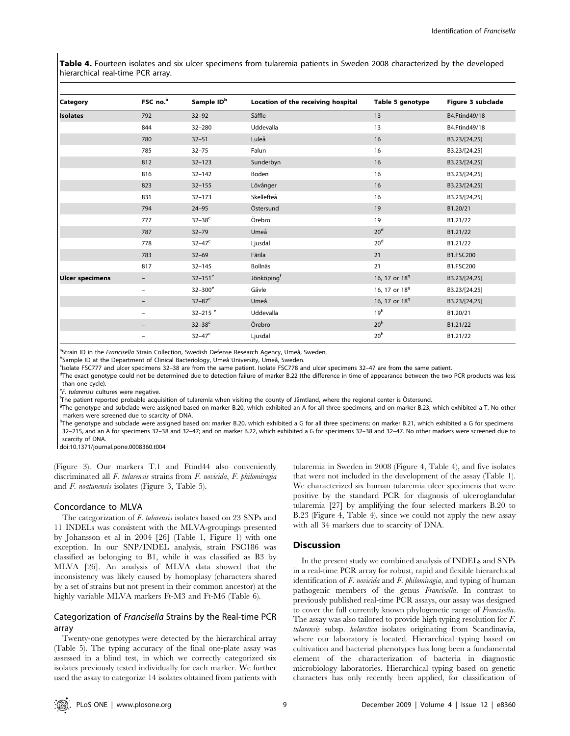Table 4. Fourteen isolates and six ulcer specimens from tularemia patients in Sweden 2008 characterized by the developed hierarchical real-time PCR array.

| Category               | FSC no. <sup>a</sup> | Sample ID <sup>b</sup> | Location of the receiving hospital | Table 5 genotype          | Figure 3 subclade |
|------------------------|----------------------|------------------------|------------------------------------|---------------------------|-------------------|
| <b>Isolates</b>        | 792                  | $32 - 92$              | Säffle                             | 13                        | B4.Ftind49/18     |
|                        | 844                  | $32 - 280$             | Uddevalla                          | 13                        | B4.Ftind49/18     |
|                        | 780                  | $32 - 51$              | Luleå                              | 16                        | B3.23/[24,25]     |
|                        | 785                  | $32 - 75$              | Falun                              | 16                        | B3.23/[24,25]     |
|                        | 812                  | $32 - 123$             | Sunderbyn                          | 16                        | B3.23/[24,25]     |
|                        | 816                  | $32 - 142$             | Boden                              | 16                        | B3.23/[24,25]     |
|                        | 823                  | $32 - 155$             | Lövånger                           | 16                        | B3.23/[24,25]     |
|                        | 831                  | $32 - 173$             | Skellefteå                         | 16                        | B3.23/[24,25]     |
|                        | 794                  | $24 - 95$              | Östersund                          | 19                        | B1.20/21          |
|                        | 777                  | $32 - 38^c$            | Örebro                             | 19                        | B1.21/22          |
|                        | 787                  | $32 - 79$              | Umeå                               | 20 <sup>d</sup>           | B1.21/22          |
|                        | 778                  | $32 - 47^c$            | Ljusdal                            | 20 <sup>d</sup>           | B1.21/22          |
|                        | 783                  | $32 - 69$              | Färila                             | 21                        | B1.FSC200         |
|                        | 817                  | $32 - 145$             | Bollnäs                            | 21                        | B1.FSC200         |
| <b>Ulcer specimens</b> |                      | $32 - 151^e$           | Jönköpingf                         | 16, 17 or 18 <sup>9</sup> | B3.23/[24,25]     |
|                        | -                    | $32 - 300^e$           | Gävle                              | 16, 17 or 18 <sup>9</sup> | B3.23/[24,25]     |
|                        |                      | $32 - 87$ <sup>e</sup> | Umeå                               | 16, 17 or 18 <sup>9</sup> | B3.23/[24,25]     |
|                        |                      | 32-215 $e$             | Uddevalla                          | 19 <sup>h</sup>           | B1.20/21          |
|                        |                      | $32 - 38^c$            | Örebro                             | 20 <sup>h</sup>           | B1.21/22          |
|                        |                      | $32 - 47^c$            | Ljusdal                            | 20 <sup>h</sup>           | B1.21/22          |

<sup>a</sup>Strain ID in the Francisella Strain Collection, Swedish Defense Research Agency, Umeå, Sweden.<br>Psample ID at the Department of Clinical Bacteriology, Umeå University, Umeå, Sweden.

<sup>b</sup>Sample ID at the Department of Clinical Bacteriology, Umeå University, Umeå, Sweden.

Isolate FSC777 and ulcer specimens 32–38 are from the same patient. Isolate FSC778 and ulcer specimens 32–47 are from the same patient.

<sup>d</sup>The exact genotype could not be determined due to detection failure of marker B.22 (the difference in time of appearance between the two PCR products was less than one cycle).

<sup>e</sup>F. tularensis cultures were negative.<br><sup>f</sup>The patient reported probable assu

<sup>f</sup>The patient reported probable acquisition of tularemia when visiting the county of Jämtland, where the regional center is Östersund.

The genotype and subclade were assigned based on marker B.20, which exhibited an A for all three specimens, and on marker B.23, which exhibited a T. No other markers were screened due to scarcity of DNA.

hThe genotype and subclade were assigned based on: marker B.20, which exhibited a G for all three specimens; on marker B.21, which exhibited a G for specimens 32–215, and an A for specimens 32–38 and 32–47; and on marker B.22, which exhibited a G for specimens 32–38 and 32–47. No other markers were screened due to scarcity of DNA.

doi:10.1371/journal.pone.0008360.t004

(Figure 3). Our markers T.1 and Ftind44 also conveniently discriminated all F. tularensis strains from F. novicida, F. philomiragia and F. noatunensis isolates (Figure 3, Table 5).

#### Concordance to MLVA

The categorization of F. tularensis isolates based on 23 SNPs and 11 INDELs was consistent with the MLVA-groupings presented by Johansson et al in 2004 [26] (Table 1, Figure 1) with one exception. In our SNP/INDEL analysis, strain FSC186 was classified as belonging to B1, while it was classified as B3 by MLVA [26]. An analysis of MLVA data showed that the inconsistency was likely caused by homoplasy (characters shared by a set of strains but not present in their common ancestor) at the highly variable MLVA markers Ft-M3 and Ft-M6 (Table 6).

# Categorization of Francisella Strains by the Real-time PCR array

Twenty-one genotypes were detected by the hierarchical array (Table 5). The typing accuracy of the final one-plate assay was assessed in a blind test, in which we correctly categorized six isolates previously tested individually for each marker. We further used the assay to categorize 14 isolates obtained from patients with tularemia in Sweden in 2008 (Figure 4, Table 4), and five isolates that were not included in the development of the assay (Table 1). We characterized six human tularemia ulcer specimens that were positive by the standard PCR for diagnosis of ulceroglandular tularemia [27] by amplifying the four selected markers B.20 to B.23 (Figure 4, Table 4), since we could not apply the new assay with all 34 markers due to scarcity of DNA.

# **Discussion**

In the present study we combined analysis of INDELs and SNPs in a real-time PCR array for robust, rapid and flexible hierarchical identification of  $F$ . novicida and  $F$ . philomiragia, and typing of human pathogenic members of the genus Francisella. In contrast to previously published real-time PCR assays, our assay was designed to cover the full currently known phylogenetic range of Francisella. The assay was also tailored to provide high typing resolution for F. tularensis subsp. holarctica isolates originating from Scandinavia, where our laboratory is located. Hierarchical typing based on cultivation and bacterial phenotypes has long been a fundamental element of the characterization of bacteria in diagnostic microbiology laboratories. Hierarchical typing based on genetic characters has only recently been applied, for classification of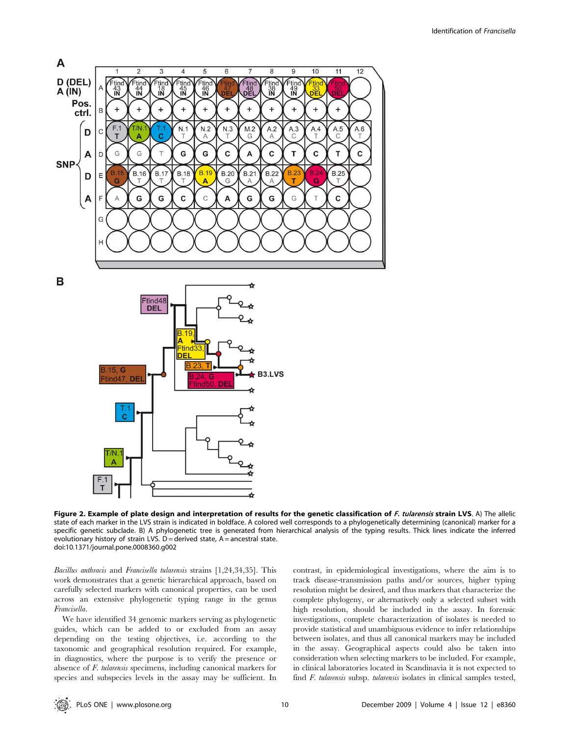

B



Figure 2. Example of plate design and interpretation of results for the genetic classification of F. tularensis strain LVS. A) The allelic state of each marker in the LVS strain is indicated in boldface. A colored well corresponds to a phylogenetically determining (canonical) marker for a specific genetic subclade. B) A phylogenetic tree is generated from hierarchical analysis of the typing results. Thick lines indicate the inferred evolutionary history of strain LVS.  $D =$  derived state, A = ancestral state. doi:10.1371/journal.pone.0008360.g002

Bacillus anthracis and Francisella tularensis strains [1,24,34,35]. This work demonstrates that a genetic hierarchical approach, based on carefully selected markers with canonical properties, can be used across an extensive phylogenetic typing range in the genus Francisella.

We have identified 34 genomic markers serving as phylogenetic guides, which can be added to or excluded from an assay depending on the testing objectives, i.e. according to the taxonomic and geographical resolution required. For example, in diagnostics, where the purpose is to verify the presence or absence of F. tularensis specimens, including canonical markers for species and subspecies levels in the assay may be sufficient. In contrast, in epidemiological investigations, where the aim is to track disease-transmission paths and/or sources, higher typing resolution might be desired, and thus markers that characterize the complete phylogeny, or alternatively only a selected subset with high resolution, should be included in the assay. In forensic investigations, complete characterization of isolates is needed to provide statistical and unambiguous evidence to infer relationships between isolates, and thus all canonical markers may be included in the assay. Geographical aspects could also be taken into consideration when selecting markers to be included. For example, in clinical laboratories located in Scandinavia it is not expected to find F. tularensis subsp. tularensis isolates in clinical samples tested,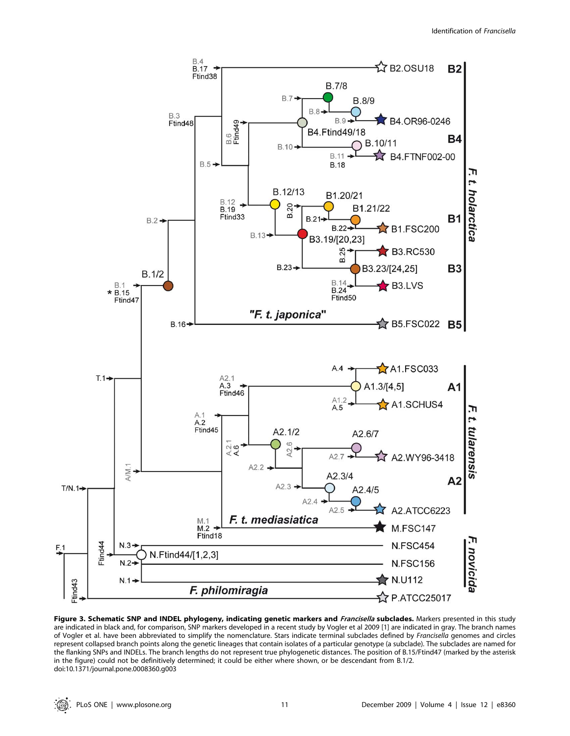

Figure 3. Schematic SNP and INDEL phylogeny, indicating genetic markers and Francisella subclades. Markers presented in this study are indicated in black and, for comparison, SNP markers developed in a recent study by Vogler et al 2009 [1] are indicated in gray. The branch names of Vogler et al. have been abbreviated to simplify the nomenclature. Stars indicate terminal subclades defined by Francisella genomes and circles represent collapsed branch points along the genetic lineages that contain isolates of a particular genotype (a subclade). The subclades are named for the flanking SNPs and INDELs. The branch lengths do not represent true phylogenetic distances. The position of B.15/Ftind47 (marked by the asterisk in the figure) could not be definitively determined; it could be either where shown, or be descendant from B.1/2. doi:10.1371/journal.pone.0008360.g003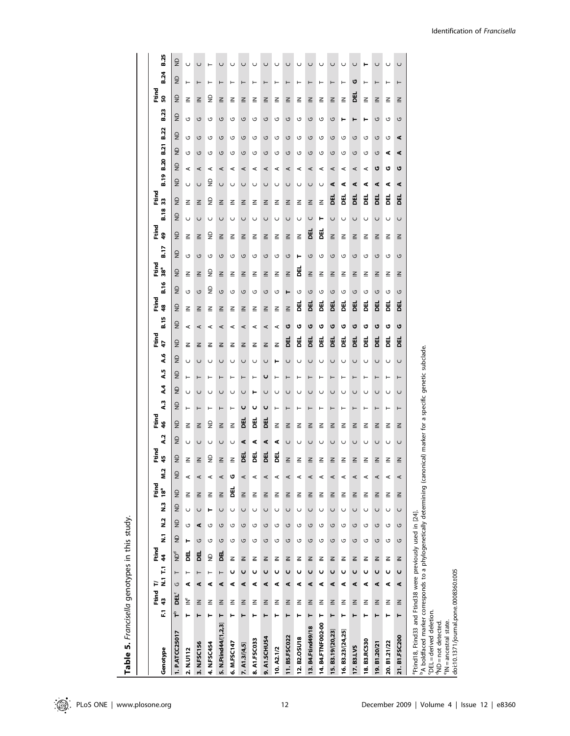| Genotype                                                                                                                                                                                                     | E. | Ftind<br>43 | F | N.1 T.1  | Ftind<br>$\frac{4}{3}$ | ż              | $\frac{2}{5}$ | 18ª<br><u>ร</u>                  | Ftind          | ning<br>Etimolo<br>45<br><b>N.2</b> | $\lambda$ .2   | rting<br>E<br>$\frac{4}{5}$ | 2          | $\ddot{\bm{z}}$ | 45             | <b>م.م</b>     | Ftird<br>47 | B.15                             | Ftind<br>48    | Ftind<br>38°<br>B.16 | B.17           | م<br>الأ<br>ą  | B.18       | Ftind<br>33    | B.19           | <b>B.20</b> | B.21           | <b>B.22</b>    | B.23           | Ftind<br>50    | <b>B.24</b>   | <b>B.25</b>    |
|--------------------------------------------------------------------------------------------------------------------------------------------------------------------------------------------------------------|----|-------------|---|----------|------------------------|----------------|---------------|----------------------------------|----------------|-------------------------------------|----------------|-----------------------------|------------|-----------------|----------------|----------------|-------------|----------------------------------|----------------|----------------------|----------------|----------------|------------|----------------|----------------|-------------|----------------|----------------|----------------|----------------|---------------|----------------|
| 1. P.ATCC25017                                                                                                                                                                                               | ᢪ  | DEL         | U | ⊢        | ρq                     | $\overline{z}$ | $\epsilon$    | $\overline{z}$<br>$\overline{a}$ | $\overline{z}$ | $\overline{a}$                      | $\overline{z}$ | $\overline{z}$              | $\epsilon$ | $\overline{2}$  | $\overline{a}$ | $\overline{z}$ | S           | $\overline{a}$<br>$\overline{z}$ | $\overline{z}$ | $\overline{z}$       | $\overline{z}$ | $\overline{a}$ | $\epsilon$ | $\overline{z}$ | $\overline{z}$ | g           | $\overline{a}$ | $\overline{z}$ | $\overline{z}$ | $\overline{z}$ | g             | $\overline{z}$ |
| 2. N.U112                                                                                                                                                                                                    | ۳  | ั๊≧         | 4 | Н        | ョ                      | Н              | U<br>U        | ≧                                | ⋖              | ≧                                   | $\cup$         | $\leq$                      | $\vdash$   | $\cup$          | $\vdash$       | U              | ≧           | $\leq$<br>⋖                      | U              | $\leq$               | U              | ≧              | $\cup$     | $\leq$         | U              | ⋖           | U              | U              | U              | $\leq$         | U<br>$\vdash$ |                |
| 3. N.FSC156                                                                                                                                                                                                  | ⊢  | $\leq$      | ⋖ | $\vdash$ | U<br>闻                 |                | U<br>⋖        | $\leq$                           | ⋖              | $\leq$                              | U              | $\leq$                      | ⊢          | U               | ⊢              | U              | ≧           | $\leq$<br>⋖                      | G              | $\leq$               | G              | $\leq$         | $\cup$     | $\leq$         | U              | ⋖           | G              | U              | U              | $\leq$         | U             |                |
| 4. N.FSC454                                                                                                                                                                                                  | ۳  | 같           | ⋖ | Н        | U<br>$\overline{z}$    |                | ۳<br>U        | $\leq$                           | ⋖              | $\mathsf{R}$                        | U              | ę                           | ۳          | U               | ۳              | U              | 같           | ≧<br>⋖                           | g              | ę                    | U              | g              | U          | g              | ę              | ⋖           | U              | U              | U              | g              | ⊢<br>۲        |                |
| 5. N.Ftind44/[1,2,3]                                                                                                                                                                                         | ۳  | $\leq$      | ⋖ | $\vdash$ | U<br>声                 | U              | U             | $\leq$                           | ⋖              | $\leq$                              | U              | $\leq$                      | $\vdash$   | U               | $\vdash$       | U              | ≧           | $\leq$<br>⋖                      | G              | $\leq$               | U              | $\leq$         | U          | $\leq$         | U              | ⋖           | G              | G              | $\leq$<br>G    |                | U<br>⊢        |                |
| 6. M.FSC147                                                                                                                                                                                                  | ۳  | 같           | ⋖ | U        | U<br>$\leq$            | U              | U             | 펨                                | U              | $\leq$                              | U              | $\leq$                      | ۳          | $\cup$          | ⊢              | U              | 같           | ≧<br>$\prec$                     | U              | ≧                    | U              | 같              | $\cup$     | ≧              | U              | ⋖           | U              | G              | ≧<br>U         |                | U<br>۳        |                |
| 7. $A1.3/[4,5]$                                                                                                                                                                                              | ۳  | $\leq$      | ⋖ | U        | U<br>$\leq$            | U              | U             | $\leq$                           | ⋖              | 핑                                   | ⋖              | 핑                           | U          | $\cup$          | $\vdash$       | $\cup$         | 같           | $\leq$<br>⋖                      | U              | $\leq$               | U              | $\leq$         | $\cup$     | $\leq$         | U              | ⋖           | G              | U              | $\leq$<br>G    | ⊢              | $\cup$        |                |
| 8. A1.FSC033                                                                                                                                                                                                 | ۳  | 같           | ⋖ | U        | U<br>$\leq$            |                | $\cup$<br>G   | ≧                                | ⋖              | 핑                                   | ⋖              | 핑                           | U          | ۳               | $\vdash$       | U              | 같           | ≧<br>⋖                           | U              | ≧                    | U              | 같              | U          | ≧              | U              | ⋖           | U              | G              | ≧<br>G         |                | U<br>⊢        |                |
| 9. A1.SCHUS4                                                                                                                                                                                                 | ۳  | $\leq$      | ⋖ | U        | U<br>$\leq$            | U              | $\cup$        | $\leq$                           | ⋖              | 핑                                   | ⋖              | 핑                           | U          | U               | U              | $\cup$         | $\leq$      | $\leq$<br>$\prec$                | U              | $\leq$               | G              | $\leq$         | U          | $\leq$         | $\cup$         | $\prec$     | G              | U              | $\leq$<br>G    | ⊢              | $\cup$        |                |
| 10. A2.1/2                                                                                                                                                                                                   | ۳  | 같           | ⋖ | U        | U<br>≧                 |                | U<br>G        | 같                                | ⋖              | 핑                                   | ⋖              | ≧                           | ⊢          | U               | ⊢              | ۳              | $\leq$      | 같<br>$\prec$                     | U              | 같                    | U              | 같              | U          | ≧              | U              | ⋖           | G              | G              | ≧<br>G         |                | U<br>⊢        |                |
| 11.B5.FSC022                                                                                                                                                                                                 | ۳  | $\leq$      | ⋖ | U        | G<br>$\leq$            |                | $\cup$<br>G   | $\leq$                           | ⋖              | $\leq$                              | $\cup$         | $\leq$                      | $\vdash$   | $\cup$          | $\vdash$       | $\cup$         | 핑           | $\leq$<br>U                      | Н              | $\leq$               | G              | $\leq$         | $\cup$     | $\leq$         | $\cup$         | ⋖           | G              | U              | $\leq$<br>G    | ۳              | U             |                |
| 12. B2. OSU18                                                                                                                                                                                                | ۳  | 같           | ⋖ | U        | U<br>≧                 |                | U<br>U        | ≧                                | ⋖              | ≧                                   | U              | ≧                           | ۳          | C               | ⊢              | U              | 핑           | v                                | G<br>핑         | 품                    | ۳              | ≧              | U          | ≧              | U              | ⋖           | G              | U              | ≧<br>U         |                | U<br>⊢        |                |
| 13. B4. Ftind49/18                                                                                                                                                                                           | ۳  | $\leq$      | ⋖ | ပ        | G<br>$\leq$            |                | $\cup$<br>G   | $\leq$                           | ⋖              | $\leq$                              | U              | $\leq$                      | ⊢          | U               | $\vdash$       | U              | 핑           | ט                                | G<br>핑         | $\leq$               | G              | 띰              | U          | $\leq$         | U              | ⋖           | ں              | U              | $\leq$<br>G    |                | U<br>⊢        |                |
| 14. B4.FTNF002-00                                                                                                                                                                                            | ۳  | 같           | ⋖ | U        | U<br>≧                 |                | U<br>U        | 같                                | ⋖              | 같                                   | U              | ≧                           | ۳          | U               | ۳              | U              | 핑           | v                                | G<br>폠         | ≧                    | U              | 핑              | ۳          | $\leq$         | U              | ⋖           | U              | U              | ≧<br>U         |                | U             |                |
| <b>15. B3.19/20,23</b>                                                                                                                                                                                       | ۳  | $\leq$      | ⋖ | U        | G<br>$\leq$            | U              | $\cup$        | $\leq$                           | ⋖              | $\leq$                              | $\cup$         | $\leq$                      | ⊢          | $\cup$          | $\vdash$       | $\cup$         | 핑           | U                                | U<br>핑         | $\leq$               | U              | $\leq$         | U          | 핑              | ⋖              | ⋖           | G              | G              | G              | $\leq$         | U<br>⊢        |                |
| 16. B3.23/[24,25]                                                                                                                                                                                            | ⊢  | ≧           | ⋖ | U        | O<br>≧                 |                | U<br>U        | ≧                                | ⋖              | 같                                   | U              | ≧                           | ⊢          | U               | ⊢              | U              | 핑           | ט                                | G<br>剧         | ≧                    | G              | ≧              | U          | 핑              | ⋖              | ⋖           | G              | G              | ⊢              | ≧              | U<br>⊢        |                |
| 17. B3.LVS                                                                                                                                                                                                   | ۳  | $\leq$      | ⋖ | U        | U<br>$\leq$            | U              | $\cup$        | $\leq$                           | ⋖              | $\leq$                              | U              | ≧                           | $\vdash$   | $\cup$          | $\vdash$       | $\cup$         | 핑           | U                                | G<br>핑         | $\leq$               | G              | $\geq$         | U          | 핑              | ⋖              | ⋖           | G              | G              | Н              | 핑              | U<br>U        |                |
| 18. B3.RC530                                                                                                                                                                                                 | ۳  | ≧           | ⋖ | U        | G<br>≧                 |                | U<br>G        | ≧                                | ⋖              | 같                                   | U              | ≧                           | ⊢          | U               | ⊢              | U              | 핑           | U                                | G<br>剧         | ≧                    | G              | 같              | U          | 핑              | ⋖              | ⋖           | U              | G              | ۳              | $\leq$         | ۳<br>⊢        |                |
| 19. B1.20/21                                                                                                                                                                                                 | ⊢  | $\leq$      | ⋖ | U        | G<br>$\leq$            |                | $\cup$<br>G   | $\leq$                           | ⋖              | $\leq$                              | U              | $\leq$                      | ⊢          | U               | ⊢              | $\cup$         | 핑           | U                                | G<br>핑         | $\leq$               | G              | $\leq$         | U          | 핑              | ⋖              | O           | G              | G              | G              | $\leq$         | U<br>⊢        |                |
| 20. B1.21/22                                                                                                                                                                                                 | ۳  | 같           | ⋖ | U        | U<br>≧                 |                | $\cup$<br>U   | ≧                                | ⋖              | 같                                   | U              | ≧                           | ۳          | U               | ۳              | U              | 핑           | O                                | U<br>핑         | ≧                    | U              | 같              | U          | 핑              | ⋖              | U           | ⋖              | G              | U              | ≧              | U<br>$\vdash$ |                |
| 21. B1.FSC200                                                                                                                                                                                                | ۳  | $\leq$      | ⋖ | U        | U<br>$\leq$            | U              | $\cup$        | $\leq$                           | ⋖              | 같                                   | U              | ≧                           | ۳          | $\cup$          | $\vdash$       | U              | 핑           | ט                                | G<br>핑         | ≧                    | G              | 같              | $\cup$     | 핑              | ⋖              | U           | ⋖              | ⋖              | ≧<br>G         | ۳              | $\cup$        |                |
| <sup>b</sup> A boldfaced marker corresponds to a phylogenetically determining (canonical) marker for a specific genetic subclade.<br><sup>a</sup> Ftind18, Ftind33 and Ftind38 were previously used in [24]. |    |             |   |          |                        |                |               |                                  |                |                                     |                |                             |            |                 |                |                |             |                                  |                |                      |                |                |            |                |                |             |                |                |                |                |               |                |
| 'DEL = derived deletion.<br>$d$ ND = not detected.                                                                                                                                                           |    |             |   |          |                        |                |               |                                  |                |                                     |                |                             |            |                 |                |                |             |                                  |                |                      |                |                |            |                |                |             |                |                |                |                |               |                |
| <sup>e</sup> IN = ancestral state.                                                                                                                                                                           |    |             |   |          |                        |                |               |                                  |                |                                     |                |                             |            |                 |                |                |             |                                  |                |                      |                |                |            |                |                |             |                |                |                |                |               |                |
| doi:10.1371/journal.pone.0008360.t005                                                                                                                                                                        |    |             |   |          |                        |                |               |                                  |                |                                     |                |                             |            |                 |                |                |             |                                  |                |                      |                |                |            |                |                |             |                |                |                |                |               |                |

Table 5. Francisella genotypes in this study. Table 5. Francisella genotypes in this study.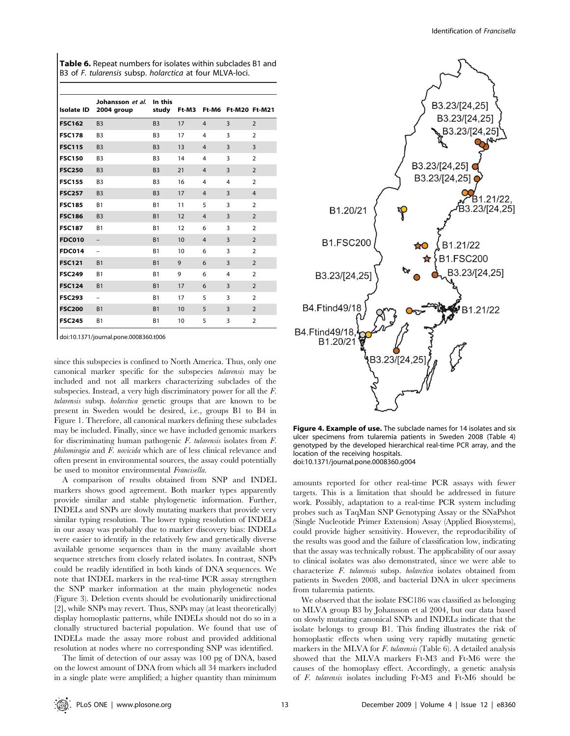|               | <b>Table 6.</b> Repeat numbers for isolates within subclades B1 and<br>B3 of F. tularensis subsp. holarctica at four MLVA-loci. |                |    |                                 |  |
|---------------|---------------------------------------------------------------------------------------------------------------------------------|----------------|----|---------------------------------|--|
|               | Johansson et al. In this<br>Isolate ID 2004 group                                                                               |                |    | study Ft-M3 Ft-M6 Ft-M20 Ft-M21 |  |
| <b>FSC162</b> | <b>B3</b>                                                                                                                       | <b>B3</b>      | 17 | 3                               |  |
| FSC178        | B <sub>3</sub>                                                                                                                  | B <sub>3</sub> | 17 | 3                               |  |

| <b>FSC178</b> | B <sub>3</sub>    | B <sub>3</sub> | 17 | 4              | 3              | $\overline{2}$ |  |
|---------------|-------------------|----------------|----|----------------|----------------|----------------|--|
| <b>FSC115</b> | B <sub>3</sub>    | B <sub>3</sub> | 13 | $\overline{4}$ | 3              | 3              |  |
| <b>FSC150</b> | B <sub>3</sub>    | B <sub>3</sub> | 14 | 4              | 3              | $\overline{2}$ |  |
| <b>FSC250</b> | B <sub>3</sub>    | B <sub>3</sub> | 21 | $\overline{4}$ | 3              | $\overline{2}$ |  |
| <b>FSC155</b> | B <sub>3</sub>    | B <sub>3</sub> | 16 | 4              | $\overline{4}$ | $\overline{2}$ |  |
| <b>FSC257</b> | B <sub>3</sub>    | B <sub>3</sub> | 17 | $\overline{4}$ | 3              | $\overline{4}$ |  |
| <b>FSC185</b> | <b>B1</b>         | <b>B1</b>      | 11 | 5              | 3              | $\overline{2}$ |  |
| <b>FSC186</b> | B <sub>3</sub>    | <b>B1</b>      | 12 | $\overline{4}$ | $\overline{3}$ | $\overline{2}$ |  |
| <b>FSC187</b> | <b>B1</b>         | B1             | 12 | 6              | $\overline{3}$ | $\overline{2}$ |  |
| <b>FDC010</b> | $\qquad \qquad -$ | B1             | 10 | $\overline{4}$ | $\overline{3}$ | $\overline{2}$ |  |
| <b>FDC014</b> |                   | <b>B1</b>      | 10 | 6              | $\overline{3}$ | $\overline{2}$ |  |
| <b>FSC121</b> | <b>B1</b>         | <b>B1</b>      | 9  | 6              | 3              | $\overline{2}$ |  |
| <b>FSC249</b> | <b>B1</b>         | B1             | 9  | 6              | $\overline{4}$ | $\overline{2}$ |  |
| <b>FSC124</b> | <b>B1</b>         | <b>B1</b>      | 17 | 6              | $\overline{3}$ | $\overline{2}$ |  |
| <b>FSC293</b> |                   | <b>B1</b>      | 17 | 5              | 3              | $\overline{2}$ |  |
| <b>FSC200</b> | <b>B1</b>         | <b>B1</b>      | 10 | 5              | 3              | $\overline{2}$ |  |
| <b>FSC245</b> | <b>B1</b>         | B1             | 10 | 5              | 3              | $\overline{2}$ |  |

doi:10.1371/journal.pone.0008360.t006

since this subspecies is confined to North America. Thus, only one canonical marker specific for the subspecies tularensis may be included and not all markers characterizing subclades of the subspecies. Instead, a very high discriminatory power for all the F. tularensis subsp. holarctica genetic groups that are known to be present in Sweden would be desired, i.e., groups B1 to B4 in Figure 1. Therefore, all canonical markers defining these subclades may be included. Finally, since we have included genomic markers for discriminating human pathogenic F. tularensis isolates from F. philomiragia and F. novicida which are of less clinical relevance and often present in environmental sources, the assay could potentially be used to monitor environmental Francisella.

A comparison of results obtained from SNP and INDEL markers shows good agreement. Both marker types apparently provide similar and stable phylogenetic information. Further, INDELs and SNPs are slowly mutating markers that provide very similar typing resolution. The lower typing resolution of INDELs in our assay was probably due to marker discovery bias: INDELs were easier to identify in the relatively few and genetically diverse available genome sequences than in the many available short sequence stretches from closely related isolates. In contrast, SNPs could be readily identified in both kinds of DNA sequences. We note that INDEL markers in the real-time PCR assay strengthen the SNP marker information at the main phylogenetic nodes (Figure 3). Deletion events should be evolutionarily unidirectional [2], while SNPs may revert. Thus, SNPs may (at least theoretically) display homoplastic patterns, while INDELs should not do so in a clonally structured bacterial population. We found that use of INDELs made the assay more robust and provided additional resolution at nodes where no corresponding SNP was identified.

The limit of detection of our assay was 100 pg of DNA, based on the lowest amount of DNA from which all 34 markers included in a single plate were amplified; a higher quantity than minimum



Figure 4. Example of use. The subclade names for 14 isolates and six ulcer specimens from tularemia patients in Sweden 2008 (Table 4) genotyped by the developed hierarchical real-time PCR array, and the location of the receiving hospitals. doi:10.1371/journal.pone.0008360.g004

amounts reported for other real-time PCR assays with fewer targets. This is a limitation that should be addressed in future work. Possibly, adaptation to a real-time PCR system including probes such as TaqMan SNP Genotyping Assay or the SNaPshot (Single Nucleotide Primer Extension) Assay (Applied Biosystems), could provide higher sensitivity. However, the reproducibility of the results was good and the failure of classification low, indicating that the assay was technically robust. The applicability of our assay to clinical isolates was also demonstrated, since we were able to characterize F. tularensis subsp. holarctica isolates obtained from patients in Sweden 2008, and bacterial DNA in ulcer specimens from tularemia patients.

We observed that the isolate FSC186 was classified as belonging to MLVA group B3 by Johansson et al 2004, but our data based on slowly mutating canonical SNPs and INDELs indicate that the isolate belongs to group B1. This finding illustrates the risk of homoplastic effects when using very rapidly mutating genetic markers in the MLVA for  $F$ . tularensis (Table 6). A detailed analysis showed that the MLVA markers Ft-M3 and Ft-M6 were the causes of the homoplasy effect. Accordingly, a genetic analysis of F. tularensis isolates including Ft-M3 and Ft-M6 should be